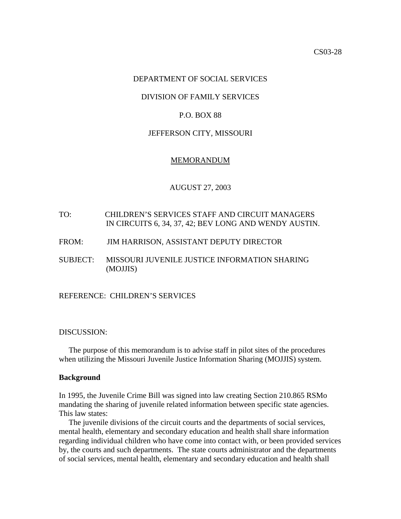# DEPARTMENT OF SOCIAL SERVICES

## DIVISION OF FAMILY SERVICES

# P.O. BOX 88

## JEFFERSON CITY, MISSOURI

### MEMORANDUM

## AUGUST 27, 2003

- TO: CHILDREN'S SERVICES STAFF AND CIRCUIT MANAGERS IN CIRCUITS 6, 34, 37, 42; BEV LONG AND WENDY AUSTIN.
- FROM: JIM HARRISON, ASSISTANT DEPUTY DIRECTOR
- SUBJECT: [MISSOURI JUVENILE JUSTICE INFORMATION SHARING](http://10.100.59.62/OSCAWeb/main/start) (MOJJIS)

## REFERENCE: CHILDREN'S SERVICES

## DISCUSSION:

 The purpose of this memorandum is to advise staff in pilot sites of the procedures when utilizing the Missouri Juvenile Justice Information Sharing (MOJJIS) system.

### **Background**

In 1995, the Juvenile Crime Bill was signed into law creating Section 210.865 RSMo mandating the sharing of juvenile related information between specific state agencies. This law states:

 The juvenile divisions of the circuit courts and the departments of social services, mental health, elementary and secondary education and health shall share information regarding individual children who have come into contact with, or been provided services by, the courts and such departments. The state courts administrator and the departments of social services, mental health, elementary and secondary education and health shall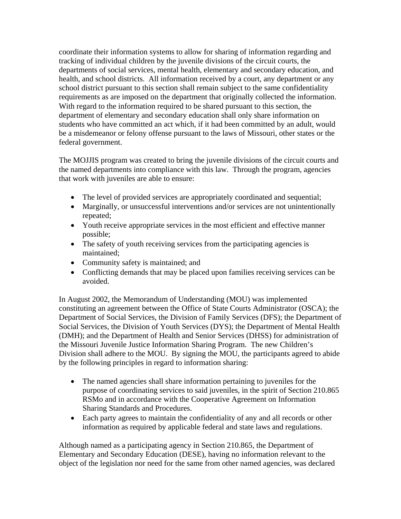coordinate their information systems to allow for sharing of information regarding and tracking of individual children by the juvenile divisions of the circuit courts, the departments of social services, mental health, elementary and secondary education, and health, and school districts. All information received by a court, any department or any school district pursuant to this section shall remain subject to the same confidentiality requirements as are imposed on the department that originally collected the information. With regard to the information required to be shared pursuant to this section, the department of elementary and secondary education shall only share information on students who have committed an act which, if it had been committed by an adult, would be a misdemeanor or felony offense pursuant to the laws of Missouri, other states or the federal government.

The MOJJIS program was created to bring the juvenile divisions of the circuit courts and the named departments into compliance with this law. Through the program, agencies that work with juveniles are able to ensure:

- The level of provided services are appropriately coordinated and sequential;
- Marginally, or unsuccessful interventions and/or services are not unintentionally repeated;
- Youth receive appropriate services in the most efficient and effective manner possible;
- The safety of youth receiving services from the participating agencies is maintained;
- Community safety is maintained; and
- Conflicting demands that may be placed upon families receiving services can be avoided.

In August 2002, the Memorandum of Understanding (MOU) was implemented constituting an agreement between the Office of State Courts Administrator (OSCA); the Department of Social Services, the Division of Family Services (DFS); the Department of Social Services, the Division of Youth Services (DYS); the Department of Mental Health (DMH); and the Department of Health and Senior Services (DHSS) for administration of the Missouri Juvenile Justice Information Sharing Program. The new Children's Division shall adhere to the MOU. By signing the MOU, the participants agreed to abide by the following principles in regard to information sharing:

- The named agencies shall share information pertaining to juveniles for the purpose of coordinating services to said juveniles, in the spirit of Section 210.865 RSMo and in accordance with the Cooperative Agreement on Information Sharing Standards and Procedures.
- Each party agrees to maintain the confidentiality of any and all records or other information as required by applicable federal and state laws and regulations.

Although named as a participating agency in Section 210.865, the Department of Elementary and Secondary Education (DESE), having no information relevant to the object of the legislation nor need for the same from other named agencies, was declared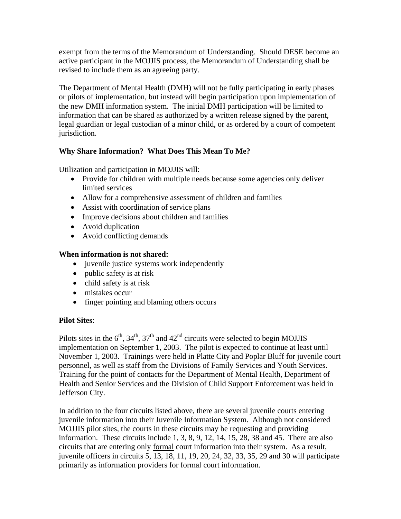exempt from the terms of the Memorandum of Understanding. Should DESE become an active participant in the MOJJIS process, the Memorandum of Understanding shall be revised to include them as an agreeing party.

The Department of Mental Health (DMH) will not be fully participating in early phases or pilots of implementation, but instead will begin participation upon implementation of the new DMH information system. The initial DMH participation will be limited to information that can be shared as authorized by a written release signed by the parent, legal guardian or legal custodian of a minor child, or as ordered by a court of competent jurisdiction.

# **Why Share Information? What Does This Mean To Me?**

Utilization and participation in MOJJIS will:

- Provide for children with multiple needs because some agencies only deliver limited services
- Allow for a comprehensive assessment of children and families
- Assist with coordination of service plans
- Improve decisions about children and families
- Avoid duplication
- Avoid conflicting demands

# **When information is not shared:**

- juvenile justice systems work independently
- public safety is at risk
- child safety is at risk
- mistakes occur
- finger pointing and blaming others occurs

# **Pilot Sites**:

Pilots sites in the  $6<sup>th</sup>$ ,  $34<sup>th</sup>$ ,  $37<sup>th</sup>$  and  $42<sup>nd</sup>$  circuits were selected to begin MOJJIS implementation on September 1, 2003. The pilot is expected to continue at least until November 1, 2003. Trainings were held in Platte City and Poplar Bluff for juvenile court personnel, as well as staff from the Divisions of Family Services and Youth Services. Training for the point of contacts for the Department of Mental Health, Department of Health and Senior Services and the Division of Child Support Enforcement was held in Jefferson City.

In addition to the four circuits listed above, there are several juvenile courts entering juvenile information into their Juvenile Information System. Although not considered MOJJIS pilot sites, the courts in these circuits may be requesting and providing information. These circuits include 1, 3, 8, 9, 12, 14, 15, 28, 38 and 45. There are also circuits that are entering only formal court information into their system. As a result, juvenile officers in circuits 5, 13, 18, 11, 19, 20, 24, 32, 33, 35, 29 and 30 will participate primarily as information providers for formal court information.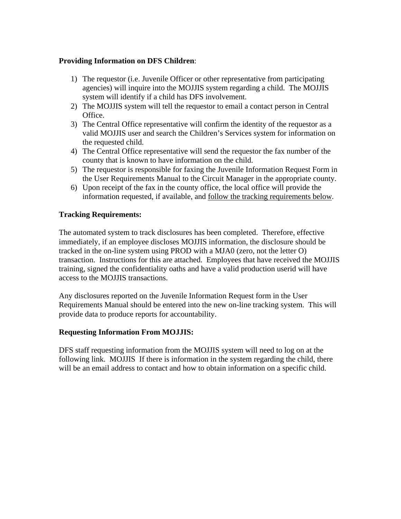# **Providing Information on DFS Children**:

- 1) The requestor (i.e. Juvenile Officer or other representative from participating agencies) will inquire into the MOJJIS system regarding a child. The MOJJIS system will identify if a child has DFS involvement.
- 2) The MOJJIS system will tell the requestor to email a contact person in Central Office.
- 3) The Central Office representative will confirm the identity of the requestor as a valid MOJJIS user and search the Children's Services system for information on the requested child.
- 4) The Central Office representative will send the requestor the fax number of the county that is known to have information on the child.
- 5) The requestor is responsible for faxing the Juvenile Information Request Form in the User Requirements Manual to the Circuit Manager in the appropriate county.
- 6) Upon receipt of the fax in the county office, the local office will provide the information requested, if available, and follow the tracking requirements below.

# **Tracking Requirements:**

The automated system to track disclosures has been completed. Therefore, effective immediately, if an employee discloses MOJJIS information, the disclosure should be tracked in the on-line system using PROD with a MJA0 (zero, not the letter O) transaction. Instructions for this are attached. Employees that have received the MOJJIS training, signed the confidentiality oaths and have a valid production userid will have access to the MOJJIS transactions.

Any disclosures reported on the Juvenile Information Request form in the User Requirements Manual should be entered into the new on-line tracking system. This will provide data to produce reports for accountability.

# **Requesting Information From MOJJIS:**

DFS staff requesting information from the MOJJIS system will need to log on at the following link. [MOJJIS](http://10.100.59.62/OSCAWeb/main/start) If there is information in the system regarding the child, there will be an email address to contact and how to obtain information on a specific child.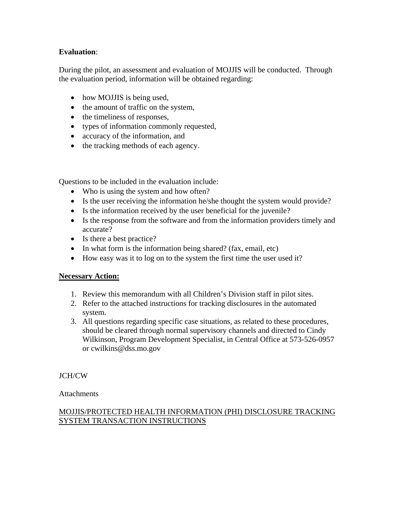# **Evaluation**:

During the pilot, an assessment and evaluation of MOJJIS will be conducted. Through the evaluation period, information will be obtained regarding:

- how MOJJIS is being used,
- the amount of traffic on the system,
- the timeliness of responses,
- types of information commonly requested,
- accuracy of the information, and
- the tracking methods of each agency.

Questions to be included in the evaluation include:

- Who is using the system and how often?
- Is the user receiving the information he/she thought the system would provide?
- Is the information received by the user beneficial for the juvenile?
- Is the response from the software and from the information providers timely and accurate?
- Is there a best practice?
- In what form is the information being shared? (fax, email, etc)
- How easy was it to log on to the system the first time the user used it?

# **Necessary Action:**

- 1. Review this memorandum with all Children's Division staff in pilot sites.
- 2. Refer to the attached instructions for tracking disclosures in the automated system.
- 3. All questions regarding specific case situations, as related to these procedures, should be cleared through normal supervisory channels and directed to Cindy Wilkinson, Program Development Specialist, in Central Office at 573-526-0957 or [cwilkins@dss.mo.](mailto:cwilkins@mail.dss.state.mo.us)gov.

JCH/CW

**Attachments** 

# MOJJIS/PROTECTED HEALTH INFORMATION (PHI) DISCLOSURE TRACKING SYSTEM TRANSACTION INSTRUCTIONS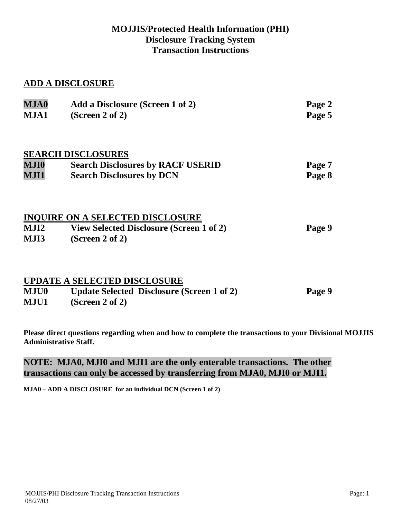# **MOJJIS/Protected Health Information (PHI) Disclosure Tracking System Transaction Instructions**

# **ADD A DISCLOSURE**

| A du a Disclosure (Serech 1 or 2)<br>(Screen 2 of 2)                  | $1 \mu \leq C 2$<br>Page 5 |
|-----------------------------------------------------------------------|----------------------------|
| <b>SEARCH DISCLOSURES</b><br><b>Search Disclosures by RACF USERID</b> | Page 7                     |
| <b>Search Disclosures by DCN</b>                                      | Page 8                     |
| <b>INQUIRE ON A SELECTED DISCLOSURE</b>                               |                            |
| <b>View Selected Disclosure (Screen 1 of 2)</b>                       | Page 9                     |
| (Screen 2 of 2)                                                       |                            |
|                                                                       |                            |

**MJA0 Add a Disclosure (Screen 1 of 2) Page 2** 

|             | <b>UPDATE A SELECTED DISCLOSURE</b>               |        |
|-------------|---------------------------------------------------|--------|
| <b>MJU0</b> | <b>Update Selected Disclosure (Screen 1 of 2)</b> | Page 9 |
| <b>MJU1</b> | (Screen 2 of 2)                                   |        |

**Please direct questions regarding when and how to complete the transactions to your Divisional MOJJIS Administrative Staff.** 

# **NOTE: MJA0, MJI0 and MJI1 are the only enterable transactions. The other transactions can only be accessed by transferring from MJA0, MJI0 or MJI1.**

**MJA0 – ADD A DISCLOSURE for an individual DCN (Screen 1 of 2)**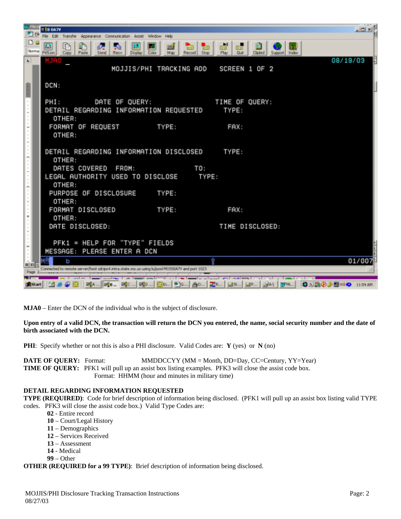

**MJA0** – Enter the DCN of the individual who is the subject of disclosure.

### **Upon entry of a valid DCN, the transaction will return the DCN you entered, the name, social security number and the date of birth associated with the DCN.**

**PHI**: Specify whether or not this is also a PHI disclosure. Valid Codes are: **Y** (yes) or **N** (no)

**DATE OF QUERY:** Format: MMDDCCYY (MM = Month, DD=Day, CC=Century, YY=Year) **TIME OF QUERY:** PFK1 will pull up an assist box listing examples. PFK3 will close the assist code box. Format: HHMM (hour and minutes in military time)

### **DETAIL REGARDING INFORMATION REQUESTED**

**TYPE (REQUIRED)**: Code for brief description of information being disclosed. (PFK1 will pull up an assist box listing valid TYPE codes. PFK3 will close the assist code box.) Valid Type Codes are:

- **02** Entire record
- **10** Court/Legal History
- **11** Demographics
- **12** Services Received
- **13** Assessment
- **14** Medical
- **99** Other

**OTHER (REQUIRED for a 99 TYPE)**: Brief description of information being disclosed.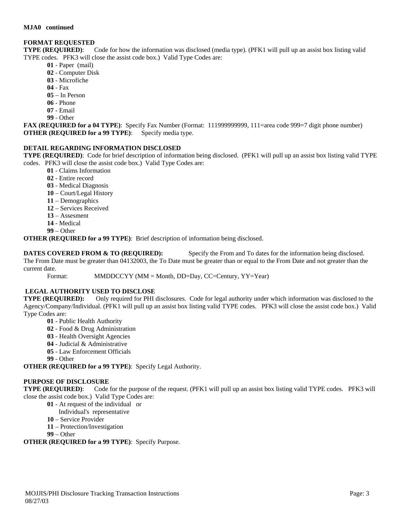## **FORMAT REQUESTED**

**TYPE (REQUIRED)**: Code for how the information was disclosed (media type). (PFK1 will pull up an assist box listing valid TYPE codes. PFK3 will close the assist code box.) Valid Type Codes are:

- **01** Paper (mail)
- **02** Computer Disk
- **03** Microfiche
- **04** Fax
- **05** In Person
- **06** Phone
- **07** Email
- **99** Other

**FAX (REQUIRED for a 04 TYPE)**: Specify Fax Number (Format: 111999999999, 111=area code 999=7 digit phone number) **OTHER (REQUIRED for a 99 TYPE)**: Specify media type.

## **DETAIL REGARDING INFORMATION DISCLOSED**

**TYPE (REQUIRED)**: Code for brief description of information being disclosed. (PFK1 will pull up an assist box listing valid TYPE codes. PFK3 will close the assist code box.) Valid Type Codes are:

- **01** Claims Information
	- **02** Entire record
	- **03** Medical Diagnosis
	- **10** Court/Legal History
	- **11** Demographics
	- **12** Services Received
	- **13** Assesment
	- **14** Medical
	- **99** Other

**OTHER (REQUIRED for a 99 TYPE)**: Brief description of information being disclosed.

**DATES COVERED FROM & TO (REQUIRED):** Specify the From and To dates for the information being disclosed. The From Date must be greater than 04132003, the To Date must be greater than or equal to the From Date and not greater than the current date.

Format: MMDDCCYY (MM = Month, DD=Day, CC=Century, YY=Year)

## **LEGAL AUTHORITY USED TO DISCLOSE**

**TYPE (REQUIRED):** Only required for PHI disclosures. Code for legal authority under which information was disclosed to the Agency/Company/Individual. (PFK1 will pull up an assist box listing valid TYPE codes. PFK3 will close the assist code box.) Valid Type Codes are:

- **01** Public Health Authority
- **02** Food & Drug Administration
- **03** Health Oversight Agencies
- **04** Judicial & Administrative
- **05** Law Enforcement Officials
- **99** Other

**OTHER (REQUIRED for a 99 TYPE)**: Specify Legal Authority.

### **PURPOSE OF DISCLOSURE**

**TYPE (REQUIRED)**: Code for the purpose of the request. (PFK1 will pull up an assist box listing valid TYPE codes. PFK3 will close the assist code box.) Valid Type Codes are:

- **01** At request of the individual or
- Individual's representative
- **10** Service Provider
- **11** Protection/Investigation
- **99** Other

### **OTHER (REQUIRED for a 99 TYPE)**: Specify Purpose.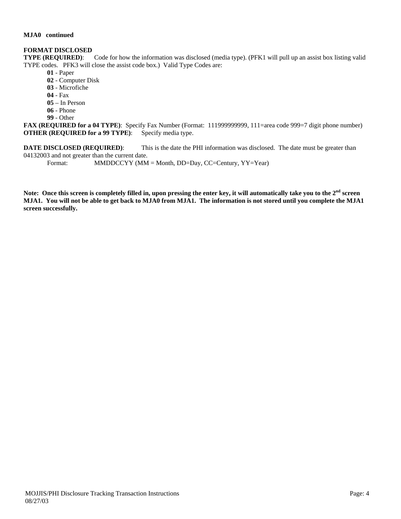#### **MJA0 continued**

### **FORMAT DISCLOSED**

**TYPE (REQUIRED)**: Code for how the information was disclosed (media type). (PFK1 will pull up an assist box listing valid TYPE codes. PFK3 will close the assist code box.) Valid Type Codes are:

- **01** Paper
- **02** Computer Disk
- **03** Microfiche
- **04** Fax
- **05** In Person
- **06** Phone
- **99** Other

**FAX (REQUIRED for a 04 TYPE)**: Specify Fax Number (Format: 111999999999, 111=area code 999=7 digit phone number) **OTHER (REQUIRED for a 99 TYPE)**: Specify media type.

**DATE DISCLOSED** (REQUIRED): This is the date the PHI information was disclosed. The date must be greater than 04132003 and not greater than the current date.

Format: MMDDCCYY (MM = Month, DD=Day, CC=Century, YY=Year)

**Note: Once this screen is completely filled in, upon pressing the enter key, it will automatically take you to the 2nd screen MJA1. You will not be able to get back to MJA0 from MJA1. The information is not stored until you complete the MJA1 screen successfully.**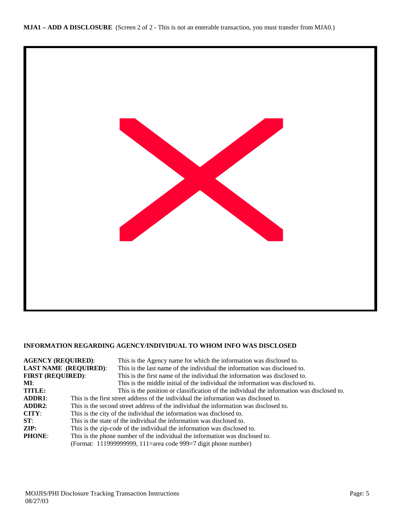

### **INFORMATION REGARDING AGENCY/INDIVIDUAL TO WHOM INFO WAS DISCLOSED**

| <b>AGENCY (REQUIRED):</b>    | This is the Agency name for which the information was disclosed to.                        |  |
|------------------------------|--------------------------------------------------------------------------------------------|--|
| <b>LAST NAME (REQUIRED):</b> | This is the last name of the individual the information was disclosed to.                  |  |
| <b>FIRST (REQUIRED):</b>     | This is the first name of the individual the information was disclosed to.                 |  |
| MI:                          | This is the middle initial of the individual the information was disclosed to.             |  |
| <b>TITLE:</b>                | This is the position or classification of the individual the information was disclosed to. |  |
| <b>ADDR1:</b>                | This is the first street address of the individual the information was disclosed to.       |  |
| ADDR2:                       | This is the second street address of the individual the information was disclosed to.      |  |
| CITY:                        | This is the city of the individual the information was disclosed to.                       |  |
| ST:                          | This is the state of the individual the information was disclosed to.                      |  |
| $\mathbf{ZIP:}$              | This is the zip-code of the individual the information was disclosed to.                   |  |
| <b>PHONE:</b>                | This is the phone number of the individual the information was disclosed to.               |  |
|                              | (Format: 111999999999, 111=area code 999=7 digit phone number)                             |  |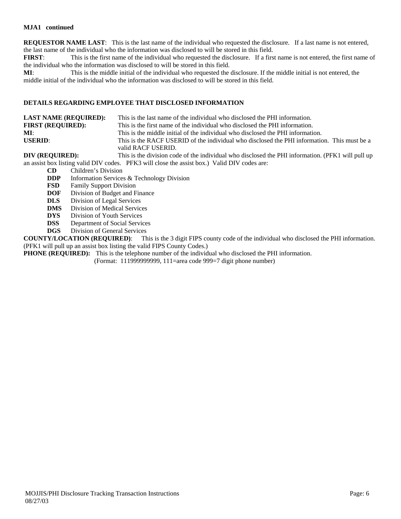### **MJA1 continued**

**REQUESTOR NAME LAST**: This is the last name of the individual who requested the disclosure. If a last name is not entered, the last name of the individual who the information was disclosed to will be stored in this field.

**FIRST**: This is the first name of the individual who requested the disclosure. If a first name is not entered, the first name of the individual who the information was disclosed to will be stored in this field.

**MI**: This is the middle initial of the individual who requested the disclosure. If the middle initial is not entered, the middle initial of the individual who the information was disclosed to will be stored in this field.

### **DETAILS REGARDING EMPLOYEE THAT DISCLOSED INFORMATION**

| <b>LAST NAME (REQUIRED):</b> | This is the last name of the individual who disclosed the PHI information.                        |
|------------------------------|---------------------------------------------------------------------------------------------------|
| <b>FIRST (REQUIRED):</b>     | This is the first name of the individual who disclosed the PHI information.                       |
| MI:                          | This is the middle initial of the individual who disclosed the PHI information.                   |
| USERID:                      | This is the RACF USERID of the individual who disclosed the PHI information. This must be a       |
|                              | valid RACF USERID.                                                                                |
| DIV (REQUIRED):              | This is the division code of the individual who disclosed the PHI information. (PFK1 will pull up |

an assist box listing valid DIV codes. PFK3 will close the assist box.) Valid DIV codes are:

- **CD** Children's Division
- **DDP** Information Services & Technology Division
- **FSD** Family Support Division
- **DOF** Division of Budget and Finance
- **DLS** Division of Legal Services
- **DMS** Division of Medical Services
- **DYS** Division of Youth Services
- **DSS** Department of Social Services
- **DGS** Division of General Services

**COUNTY/LOCATION (REQUIRED)**: This is the 3 digit FIPS county code of the individual who disclosed the PHI information. (PFK1 will pull up an assist box listing the valid FIPS County Codes.)

**PHONE (REQUIRED):** This is the telephone number of the individual who disclosed the PHI information.

(Format: 111999999999, 111=area code 999=7 digit phone number)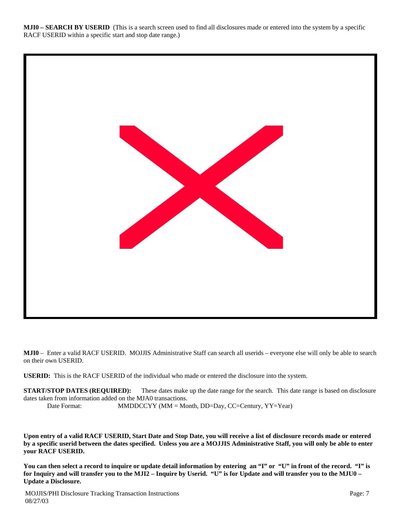**MJI0 – SEARCH BY USERID** (This is a search screen used to find all disclosures made or entered into the system by a specific RACF USERID within a specific start and stop date range.)



**MJI0** – Enter a valid RACF USERID. MOJJIS Administrative Staff can search all userids – everyone else will only be able to search on their own USERID.

**USERID:** This is the RACF USERID of the individual who made or entered the disclosure into the system.

**START/STOP DATES (REQUIRED):** These dates make up the date range for the search. This date range is based on disclosure dates taken from information added on the MJA0 transactions. Date Format: MMDDCCYY (MM = Month, DD=Day, CC=Century, YY=Year)

**Upon entry of a valid RACF USERID, Start Date and Stop Date, you will receive a list of disclosure records made or entered by a specific userid between the dates specified. Unless you are a MOJJIS Administrative Staff, you will only be able to enter your RACF USERID.** 

**You can then select a record to inquire or update detail information by entering an "I" or "U" in front of the record. "I" is for Inquiry and will transfer you to the MJI2 – Inquire by Userid. "U" is for Update and will transfer you to the MJU0 – Update a Disclosure.**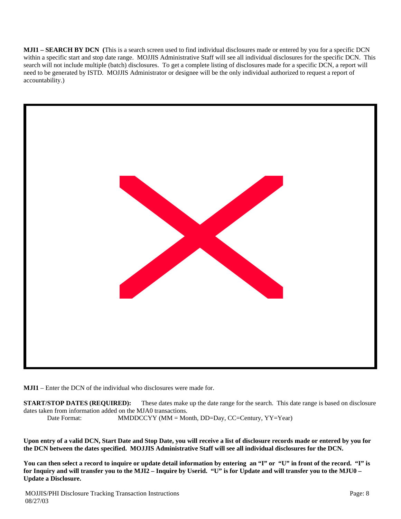**MJI1 – SEARCH BY DCN (**This is a search screen used to find individual disclosures made or entered by you for a specific DCN within a specific start and stop date range. MOJJIS Administrative Staff will see all individual disclosures for the specific DCN. This search will not include multiple (batch) disclosures. To get a complete listing of disclosures made for a specific DCN, a report will need to be generated by ISTD. MOJJIS Administrator or designee will be the only individual authorized to request a report of accountability.)



**MJI1** – Enter the DCN of the individual who disclosures were made for.

**START/STOP DATES (REQUIRED):** These dates make up the date range for the search. This date range is based on disclosure dates taken from information added on the MJA0 transactions. Date Format: MMDDCCYY (MM = Month, DD=Day, CC=Century, YY=Year)

**Upon entry of a valid DCN, Start Date and Stop Date, you will receive a list of disclosure records made or entered by you for the DCN between the dates specified. MOJJIS Administrative Staff will see all individual disclosures for the DCN.** 

**You can then select a record to inquire or update detail information by entering an "I" or "U" in front of the record. "I" is for Inquiry and will transfer you to the MJI2 – Inquire by Userid. "U" is for Update and will transfer you to the MJU0 – Update a Disclosure.**